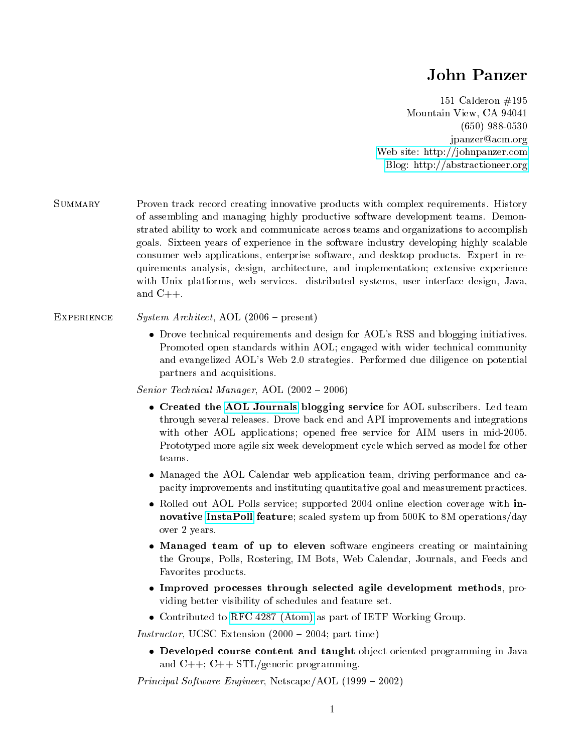## John Panzer

151 Calderon #195 Mountain View, CA 94041 (650) 988-0530 jpanzer@acm.org [Web site: http://johnpanzer.com](http://johnpanzer.com) [Blog: http://abstractioneer.org](http://abstractioneer.org)

Summary Proven track record creating innovative products with complex requirements. History of assembling and managing highly productive software development teams. Demonstrated ability to work and communicate across teams and organizations to accomplish goals. Sixteen years of experience in the software industry developing highly scalable consumer web applications, enterprise software, and desktop products. Expert in requirements analysis, design, architecture, and implementation; extensive experience with Unix platforms, web services. distributed systems, user interface design, Java, and  $C_{++}$ .

## EXPERIENCE System Architect, AOL  $(2006 - present)$

 Drove technical requirements and design for AOL's RSS and blogging initiatives. Promoted open standards within AOL; engaged with wider technical community and evangelized AOL's Web 2.0 strategies. Performed due diligence on potential partners and acquisitions.

Senior Technical Manager, AOL  $(2002 - 2006)$ 

- Created the [AOL Journals](http://journals.aol.com) blogging service for AOL subscribers. Led team through several releases. Drove back end and API improvements and integrations with other AOL applications; opened free service for AIM users in mid-2005. Prototyped more agile six week development cycle which served as model for other teams.
- Managed the AOL Calendar web application team, driving performance and capacity improvements and instituting quantitative goal and measurement practices.
- Rolled out AOL Polls service; supported 2004 online election coverage with innovative [InstaPoll](http://www.allamericanpatriots.com/m-wfsection+article+articleid-1354.html) feature; scaled system up from 500K to 8M operations/day over 2 years.
- Managed team of up to eleven software engineers creating or maintaining the Groups, Polls, Rostering, IM Bots, Web Calendar, Journals, and Feeds and Favorites products.
- Improved processes through selected agile development methods, providing better visibility of schedules and feature set.
- Contributed to [RFC 4287 \(Atom\)](http://atompub.org/rfc4287.html) as part of IETF Working Group.

Instructor, UCSC Extension  $(2000 - 2004$ ; part time)

 Developed course content and taught object oriented programming in Java and  $C_{++}$ ;  $C_{++}$  STL/generic programming.

*Principal Software Engineer*, Netscape/AOL  $(1999 - 2002)$